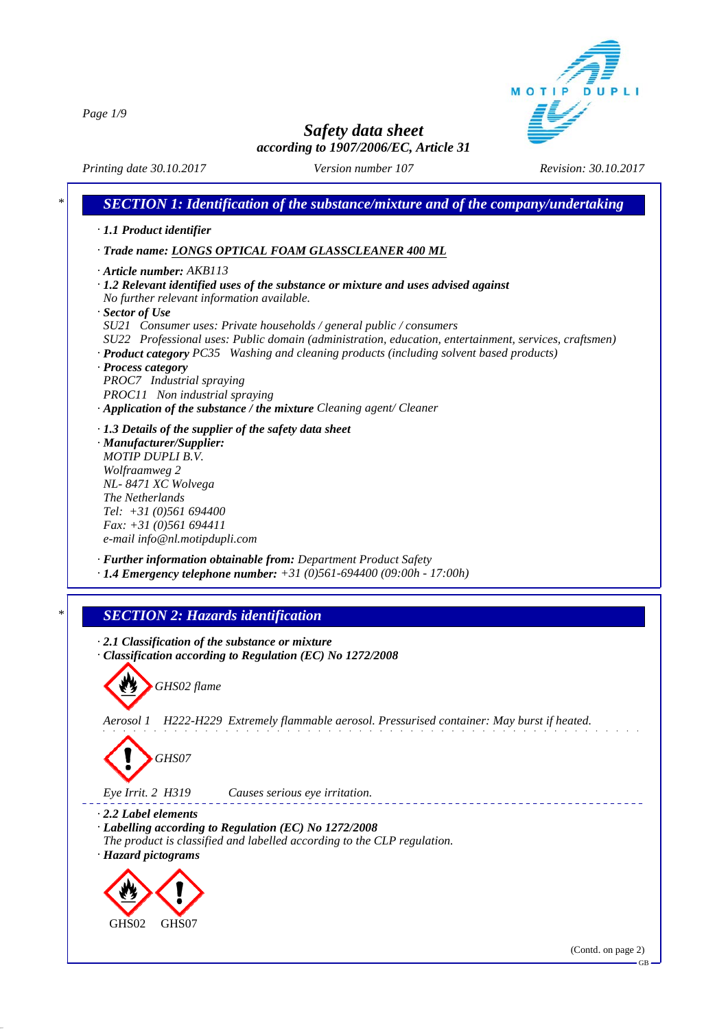MOTIP D<sub>II</sub>

*Page 1/9*

*Safety data sheet according to 1907/2006/EC, Article 31*

*Printing date 30.10.2017 Revision: 30.10.2017 Version number 107*

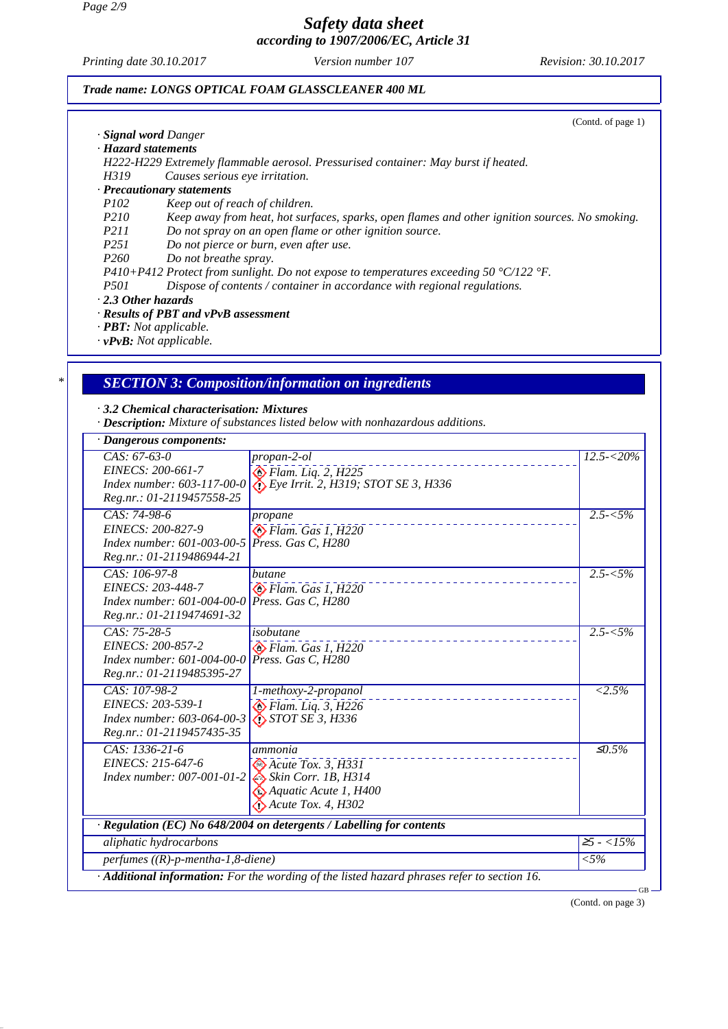*Page 2/9*

# *Safety data sheet according to 1907/2006/EC, Article 31*

*Printing date 30.10.2017 Revision: 30.10.2017 Version number 107*

(Contd. of page 1)

#### *Trade name: LONGS OPTICAL FOAM GLASSCLEANER 400 ML*

- *· Signal word Danger*
- *· Hazard statements*

*H222-H229 Extremely flammable aerosol. Pressurised container: May burst if heated.*

*H319 Causes serious eye irritation.*

# *· Precautionary statements*

- *Keep out of reach of children.*
- *P210 Keep away from heat, hot surfaces, sparks, open flames and other ignition sources. No smoking.*
- *P211 Do not spray on an open flame or other ignition source.*
- *P251 Do not pierce or burn, even after use.*
- *P260 Do not breathe spray.*

*P410+P412 Protect from sunlight. Do not expose to temperatures exceeding 50 °C/122 °F.*

- *P501 Dispose of contents / container in accordance with regional regulations.*
- *· 2.3 Other hazards*

#### *· Results of PBT and vPvB assessment*

*· PBT: Not applicable.*

*· vPvB: Not applicable.*

### *\* SECTION 3: Composition/information on ingredients*

*· 3.2 Chemical characterisation: Mixtures*

*· Description: Mixture of substances listed below with nonhazardous additions.*

| · Dangerous components:                                                                          |                                                                                                                                               |                    |  |  |
|--------------------------------------------------------------------------------------------------|-----------------------------------------------------------------------------------------------------------------------------------------------|--------------------|--|--|
| $CAS: 67-63-0$<br>EINECS: 200-661-7<br>Index number: 603-117-00-0<br>Reg.nr.: 01-2119457558-25   | propan-2-ol<br>$\bigotimes$ Flam. Liq. 2, H225<br>$\bullet$ Eye Irrit. 2, H319; STOT SE 3, H336                                               | $12.5 - 20\%$      |  |  |
| CAS: 74-98-6<br>EINECS: 200-827-9<br>Index number: 601-003-00-5<br>Reg.nr.: 01-2119486944-21     | propane<br>$\bigotimes$ Flam. Gas 1, H220<br>Press. Gas C. H280                                                                               | $2.5 - 5\%$        |  |  |
| CAS: 106-97-8<br>EINECS: 203-448-7<br>Index number: 601-004-00-0<br>Reg.nr.: 01-2119474691-32    | butane<br>Flam. Gas 1, H220<br>Press. Gas C, H280                                                                                             | $2.5 - 5\%$        |  |  |
| $CAS: 75-28-5$<br>EINECS: 200-857-2<br>$Index number: 601-004-00-0$<br>Reg.nr.: 01-2119485395-27 | isobutane<br>$\bigotimes$ Flam. Gas 1, H220<br>Press. Gas C, H280                                                                             | $2.5 - 5\%$        |  |  |
| CAS: 107-98-2<br>EINECS: 203-539-1<br>Index number: 603-064-00-3<br>Reg.nr.: 01-2119457435-35    | 1-methoxy-2-propanol<br>$\bigotimes$ Flam. Liq. 3, H226<br>$\bigotimes$ STOT SE 3, H336                                                       | $\overline{2.5\%}$ |  |  |
| $CAS: 1336-21-6$<br>EINECS: 215-647-6<br><i>Index number: 007-001-01-2</i>                       | ammonia<br>$\bigotimes$ Acute Tox. 3, H331<br>$\leftrightarrow$ Skin Corr. 1B, H314<br>Aquatic Acute 1, H400<br>$\bigodot$ Acute Tox. 4, H302 | $\leq 0.5\%$       |  |  |
| · Regulation (EC) No 648/2004 on detergents / Labelling for contents                             |                                                                                                                                               |                    |  |  |
| aliphatic hydrocarbons                                                                           |                                                                                                                                               | $\geq 5 - 15\%$    |  |  |
| perfumes $((R)-p$ -mentha-1,8-diene)                                                             |                                                                                                                                               | ${<}5\%$           |  |  |
|                                                                                                  | · Additional information: For the wording of the listed hazard phrases refer to section 16.                                                   | <b>GB</b>          |  |  |

(Contd. on page 3)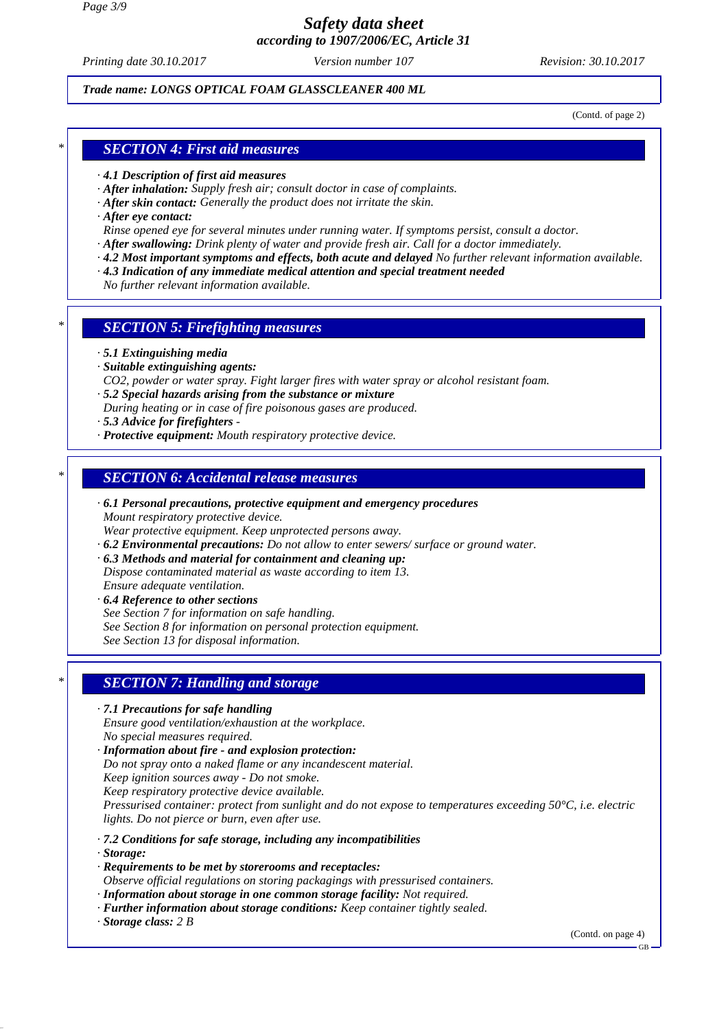*Page 3/9*

# *Safety data sheet according to 1907/2006/EC, Article 31*

*Printing date 30.10.2017 Revision: 30.10.2017 Version number 107*

### *Trade name: LONGS OPTICAL FOAM GLASSCLEANER 400 ML*

(Contd. of page 2)

### *\* SECTION 4: First aid measures*

- *· 4.1 Description of first aid measures*
- *· After inhalation: Supply fresh air; consult doctor in case of complaints.*
- *· After skin contact: Generally the product does not irritate the skin.*
- *· After eye contact:*
- *Rinse opened eye for several minutes under running water. If symptoms persist, consult a doctor.*
- *· After swallowing: Drink plenty of water and provide fresh air. Call for a doctor immediately.*
- *· 4.2 Most important symptoms and effects, both acute and delayed No further relevant information available.*
- *· 4.3 Indication of any immediate medical attention and special treatment needed*
- *No further relevant information available.*

### *\* SECTION 5: Firefighting measures*

- *· 5.1 Extinguishing media*
- *· Suitable extinguishing agents:*
- *CO2, powder or water spray. Fight larger fires with water spray or alcohol resistant foam.*
- *· 5.2 Special hazards arising from the substance or mixture*
- *During heating or in case of fire poisonous gases are produced.*
- *· 5.3 Advice for firefighters*
- *· Protective equipment: Mouth respiratory protective device.*

# *\* SECTION 6: Accidental release measures*

- *· 6.1 Personal precautions, protective equipment and emergency procedures Mount respiratory protective device.*
- *Wear protective equipment. Keep unprotected persons away.*
- *· 6.2 Environmental precautions: Do not allow to enter sewers/ surface or ground water.*
- *· 6.3 Methods and material for containment and cleaning up: Dispose contaminated material as waste according to item 13. Ensure adequate ventilation.*
- *· 6.4 Reference to other sections See Section 7 for information on safe handling. See Section 8 for information on personal protection equipment. See Section 13 for disposal information.*

# *\* SECTION 7: Handling and storage*

- *· 7.1 Precautions for safe handling Ensure good ventilation/exhaustion at the workplace. No special measures required. · Information about fire - and explosion protection: Do not spray onto a naked flame or any incandescent material. Keep ignition sources away - Do not smoke. Keep respiratory protective device available. Pressurised container: protect from sunlight and do not expose to temperatures exceeding 50°C, i.e. electric lights. Do not pierce or burn, even after use.*
- *· 7.2 Conditions for safe storage, including any incompatibilities*
- *· Storage:*
- *· Requirements to be met by storerooms and receptacles:*
- *Observe official regulations on storing packagings with pressurised containers.*
- *· Information about storage in one common storage facility: Not required.*
- *· Further information about storage conditions: Keep container tightly sealed.*
- *· Storage class: 2 B*

(Contd. on page 4)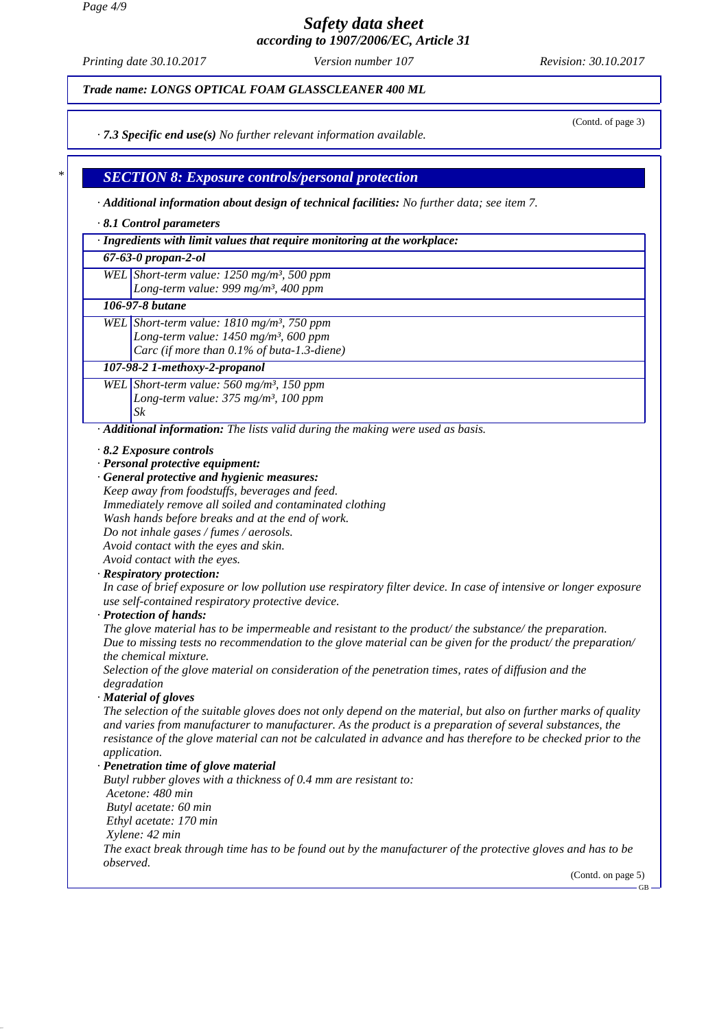*Page 4/9*

*Safety data sheet according to 1907/2006/EC, Article 31*

*Printing date 30.10.2017 Revision: 30.10.2017 Version number 107*

*Trade name: LONGS OPTICAL FOAM GLASSCLEANER 400 ML*

(Contd. of page 3)

*· 7.3 Specific end use(s) No further relevant information available.*

# *\* SECTION 8: Exposure controls/personal protection*

*· Additional information about design of technical facilities: No further data; see item 7.*

#### *· 8.1 Control parameters*

*· Ingredients with limit values that require monitoring at the workplace:*

#### *67-63-0 propan-2-ol*

*WEL Short-term value: 1250 mg/m³, 500 ppm Long-term value: 999 mg/m³, 400 ppm*

#### *106-97-8 butane*

*WEL Short-term value: 1810 mg/m³, 750 ppm Long-term value: 1450 mg/m³, 600 ppm Carc (if more than 0.1% of buta-1.3-diene)*

#### *107-98-2 1-methoxy-2-propanol*

*WEL Short-term value: 560 mg/m³, 150 ppm Long-term value: 375 mg/m³, 100 ppm Sk*

*· Additional information: The lists valid during the making were used as basis.*

*· 8.2 Exposure controls*

*· Personal protective equipment:*

#### *· General protective and hygienic measures: Keep away from foodstuffs, beverages and feed. Immediately remove all soiled and contaminated clothing*

*Wash hands before breaks and at the end of work.*

*Do not inhale gases / fumes / aerosols.*

*Avoid contact with the eyes and skin.*

*Avoid contact with the eyes.*

#### *· Respiratory protection:*

*In case of brief exposure or low pollution use respiratory filter device. In case of intensive or longer exposure use self-contained respiratory protective device.*

#### *· Protection of hands:*

*The glove material has to be impermeable and resistant to the product/ the substance/ the preparation. Due to missing tests no recommendation to the glove material can be given for the product/ the preparation/ the chemical mixture.*

*Selection of the glove material on consideration of the penetration times, rates of diffusion and the degradation*

#### *· Material of gloves*

*The selection of the suitable gloves does not only depend on the material, but also on further marks of quality and varies from manufacturer to manufacturer. As the product is a preparation of several substances, the resistance of the glove material can not be calculated in advance and has therefore to be checked prior to the application.*

#### *· Penetration time of glove material*

*Butyl rubber gloves with a thickness of 0.4 mm are resistant to: Acetone: 480 min Butyl acetate: 60 min Ethyl acetate: 170 min Xylene: 42 min The exact break through time has to be found out by the manufacturer of the protective gloves and has to be observed.*

(Contd. on page 5)

GB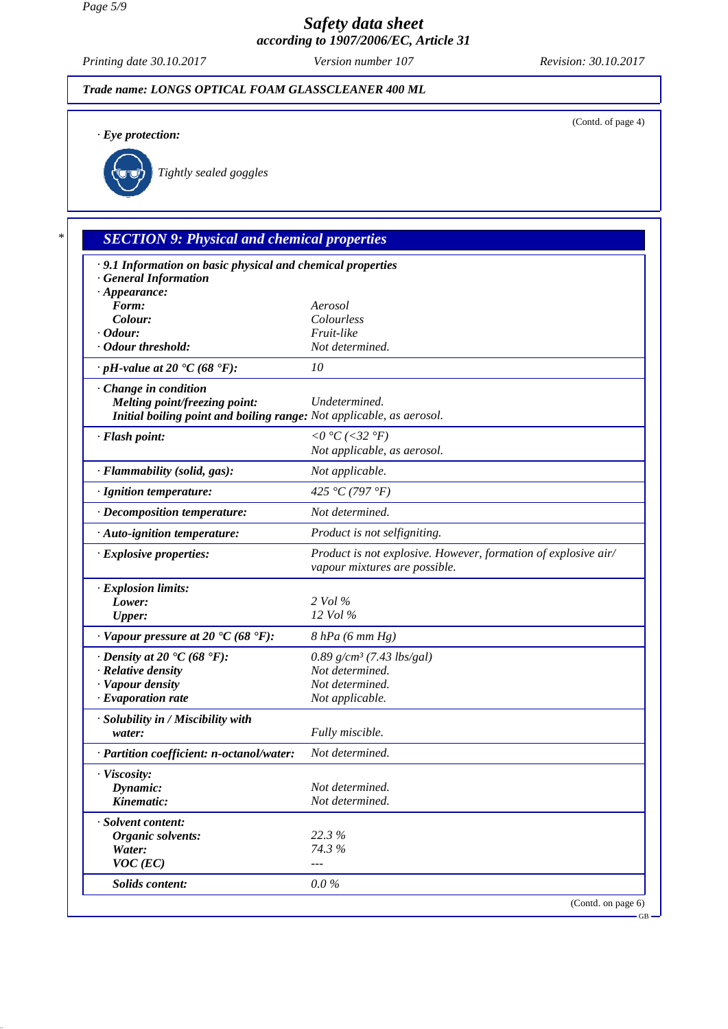*Page 5/9*

# *Safety data sheet according to 1907/2006/EC, Article 31*

*Printing date 30.10.2017 Revision: 30.10.2017 Version number 107*

# *Trade name: LONGS OPTICAL FOAM GLASSCLEANER 400 ML* (Contd. of page 4) *· Eye protection: Tightly sealed goggles \* SECTION 9: Physical and chemical properties · 9.1 Information on basic physical and chemical properties · General Information · Appearance: Form: Aerosol Colour: Colourless · Odour: Fruit-like · Odour threshold: Not determined. · pH-value at 20 °C (68 °F): 10 · Change in condition Melting point/freezing point: Undetermined. Initial boiling point and boiling range: Not applicable, as aerosol. · Flash point: <0 °C (<32 °F) Not applicable, as aerosol. · Flammability (solid, gas): Not applicable. · Ignition temperature: 425 °C (797 °F) · Decomposition temperature: Not determined. · Auto-ignition temperature: Product is not selfigniting. · Explosive properties: Product is not explosive. However, formation of explosive air/ vapour mixtures are possible. · Explosion limits: Lower: 2 Vol % Upper: 12 Vol % · Vapour pressure at 20 °C (68 °F): 8 hPa (6 mm Hg) · Density at 20 °C (68 °F): 0.89 g/cm³ (7.43 lbs/gal) · Relative density Not determined. · Vapour density Not determined. · Evaporation rate Not applicable. · Solubility in / Miscibility with water: Fully miscible. · Partition coefficient: n-octanol/water: Not determined. · Viscosity: Dynamic: Not determined. Kinematic: Not determined. · Solvent content: Organic solvents: 22.3 % Water: 74.3 % VOC* (*EC*) *Solids content: 0.0 %* (Contd. on page 6)

GB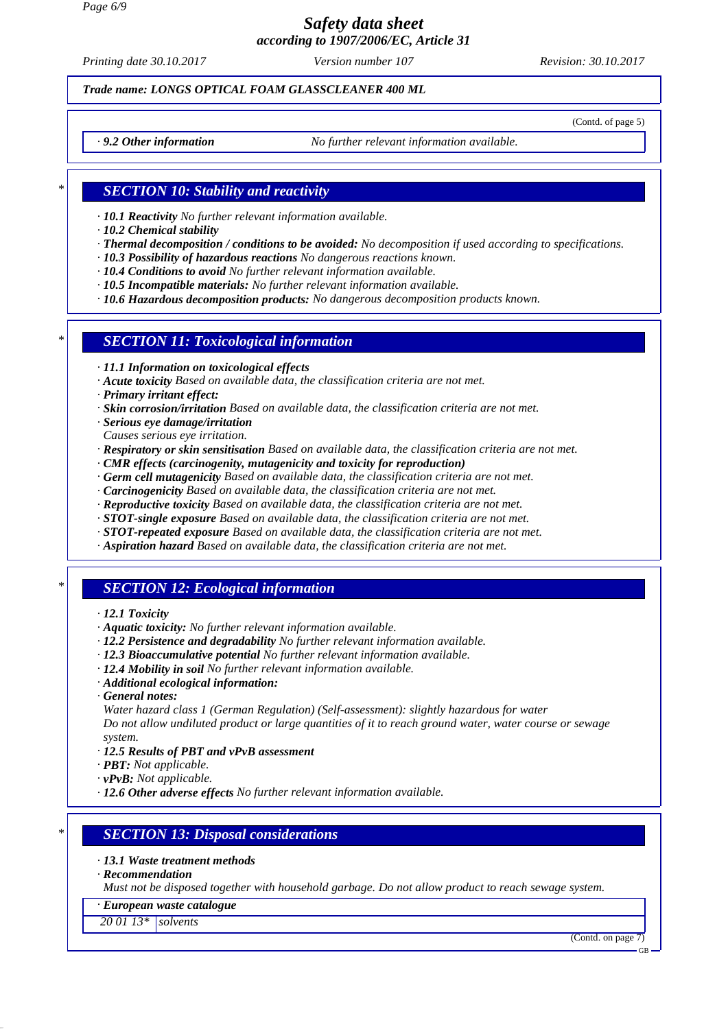*Page 6/9*

# *Safety data sheet according to 1907/2006/EC, Article 31*

*Printing date 30.10.2017 Revision: 30.10.2017 Version number 107*

### *Trade name: LONGS OPTICAL FOAM GLASSCLEANER 400 ML*

(Contd. of page 5)

*· 9.2 Other information No further relevant information available.*

# *\* SECTION 10: Stability and reactivity*

*· 10.1 Reactivity No further relevant information available.*

*· 10.2 Chemical stability*

- *· Thermal decomposition / conditions to be avoided: No decomposition if used according to specifications.*
- *· 10.3 Possibility of hazardous reactions No dangerous reactions known.*
- *· 10.4 Conditions to avoid No further relevant information available.*
- *· 10.5 Incompatible materials: No further relevant information available.*
- *· 10.6 Hazardous decomposition products: No dangerous decomposition products known.*

### *\* SECTION 11: Toxicological information*

- *· 11.1 Information on toxicological effects*
- *· Acute toxicity Based on available data, the classification criteria are not met.*
- *· Primary irritant effect:*
- *· Skin corrosion/irritation Based on available data, the classification criteria are not met.*
- *· Serious eye damage/irritation*
- *Causes serious eye irritation.*
- *· Respiratory or skin sensitisation Based on available data, the classification criteria are not met.*
- *· CMR effects (carcinogenity, mutagenicity and toxicity for reproduction)*
- *· Germ cell mutagenicity Based on available data, the classification criteria are not met.*
- *· Carcinogenicity Based on available data, the classification criteria are not met.*
- *· Reproductive toxicity Based on available data, the classification criteria are not met.*
- *· STOT-single exposure Based on available data, the classification criteria are not met.*
- *· STOT-repeated exposure Based on available data, the classification criteria are not met.*
- *· Aspiration hazard Based on available data, the classification criteria are not met.*

# *\* SECTION 12: Ecological information*

- *· 12.1 Toxicity*
- *· Aquatic toxicity: No further relevant information available.*
- *· 12.2 Persistence and degradability No further relevant information available.*
- *· 12.3 Bioaccumulative potential No further relevant information available.*
- *· 12.4 Mobility in soil No further relevant information available.*
- *· Additional ecological information:*
- *· General notes:*
- *Water hazard class 1 (German Regulation) (Self-assessment): slightly hazardous for water Do not allow undiluted product or large quantities of it to reach ground water, water course or sewage system.*
- *· 12.5 Results of PBT and vPvB assessment*
- *· PBT: Not applicable.*
- *· vPvB: Not applicable.*
- *· 12.6 Other adverse effects No further relevant information available.*

### *\* SECTION 13: Disposal considerations*

- *· 13.1 Waste treatment methods*
- *· Recommendation*

*Must not be disposed together with household garbage. Do not allow product to reach sewage system.*

#### *· European waste catalogue*

*20 01 13\* solvents*

(Contd. on page 7)

GB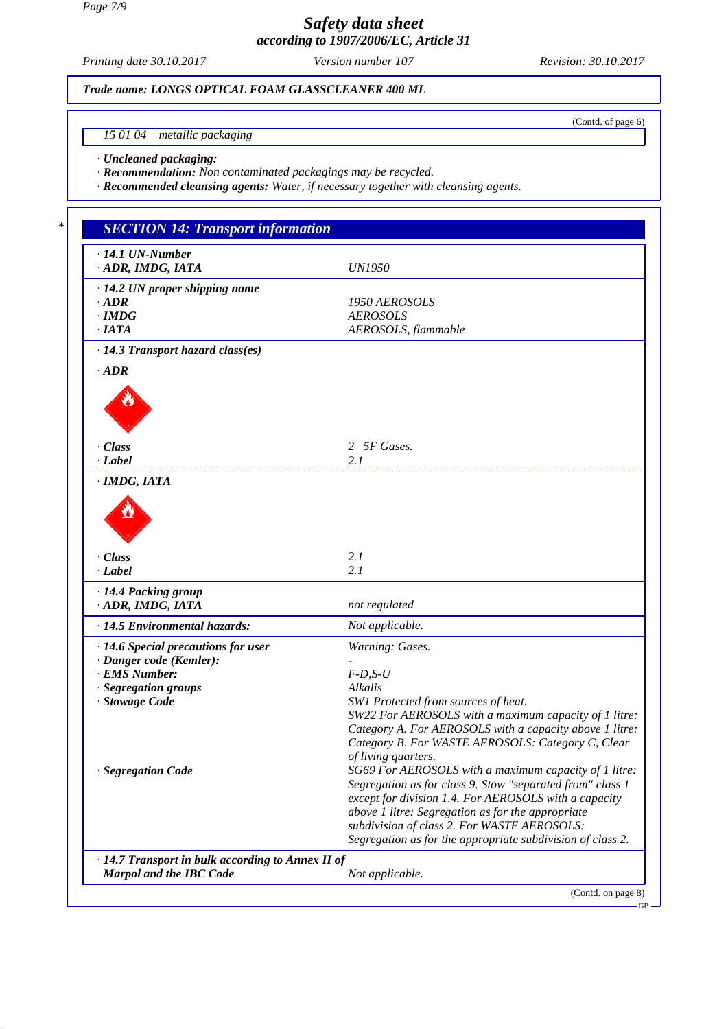*Page 7/9*

# *Safety data sheet according to 1907/2006/EC, Article 31*

*Printing date 30.10.2017 Revision: 30.10.2017 Version number 107*

(Contd. of page 6)

GB

# *Trade name: LONGS OPTICAL FOAM GLASSCLEANER 400 ML*

*15 01 04 metallic packaging*

*· Uncleaned packaging:*

*· Recommendation: Non contaminated packagings may be recycled.*

*· Recommended cleansing agents: Water, if necessary together with cleansing agents.*

| $\cdot$ 14.1 UN-Number<br>· ADR, IMDG, IATA             | <b>UN1950</b>                                                                                                                                                                                                                                                                                                                                 |
|---------------------------------------------------------|-----------------------------------------------------------------------------------------------------------------------------------------------------------------------------------------------------------------------------------------------------------------------------------------------------------------------------------------------|
| $\cdot$ 14.2 UN proper shipping name                    |                                                                                                                                                                                                                                                                                                                                               |
| $\cdot$ ADR                                             | 1950 AEROSOLS                                                                                                                                                                                                                                                                                                                                 |
| $\cdot$ IMDG                                            | <b>AEROSOLS</b>                                                                                                                                                                                                                                                                                                                               |
| ·IATA<br>$\cdot$ 14.3 Transport hazard class(es)        | AEROSOLS, flammable                                                                                                                                                                                                                                                                                                                           |
| $\cdot$ ADR                                             |                                                                                                                                                                                                                                                                                                                                               |
|                                                         |                                                                                                                                                                                                                                                                                                                                               |
| · Class                                                 | 2 5F Gases.                                                                                                                                                                                                                                                                                                                                   |
| · Label                                                 | 2.1                                                                                                                                                                                                                                                                                                                                           |
| · Class<br>· Label                                      | 2.1<br>2.1                                                                                                                                                                                                                                                                                                                                    |
| · 14.4 Packing group<br>· ADR, IMDG, IATA               | not regulated                                                                                                                                                                                                                                                                                                                                 |
| · 14.5 Environmental hazards:                           | Not applicable.                                                                                                                                                                                                                                                                                                                               |
| · 14.6 Special precautions for user                     | Warning: Gases.                                                                                                                                                                                                                                                                                                                               |
| · Danger code (Kemler):                                 |                                                                                                                                                                                                                                                                                                                                               |
| · EMS Number:                                           | $F-D, S-U$                                                                                                                                                                                                                                                                                                                                    |
| · Segregation groups<br>· Stowage Code                  | Alkalis<br>SW1 Protected from sources of heat.                                                                                                                                                                                                                                                                                                |
|                                                         | SW22 For AEROSOLS with a maximum capacity of 1 litre:<br>Category A. For AEROSOLS with a capacity above 1 litre:<br>Category B. For WASTE AEROSOLS: Category C, Clear<br>of living quarters.                                                                                                                                                  |
| · Segregation Code                                      | SG69 For AEROSOLS with a maximum capacity of 1 litre:<br>Segregation as for class 9. Stow "separated from" class 1<br>except for division 1.4. For AEROSOLS with a capacity<br>above 1 litre: Segregation as for the appropriate<br>subdivision of class 2. For WASTE AEROSOLS:<br>Segregation as for the appropriate subdivision of class 2. |
| $\cdot$ 14.7 Transport in bulk according to Annex II of |                                                                                                                                                                                                                                                                                                                                               |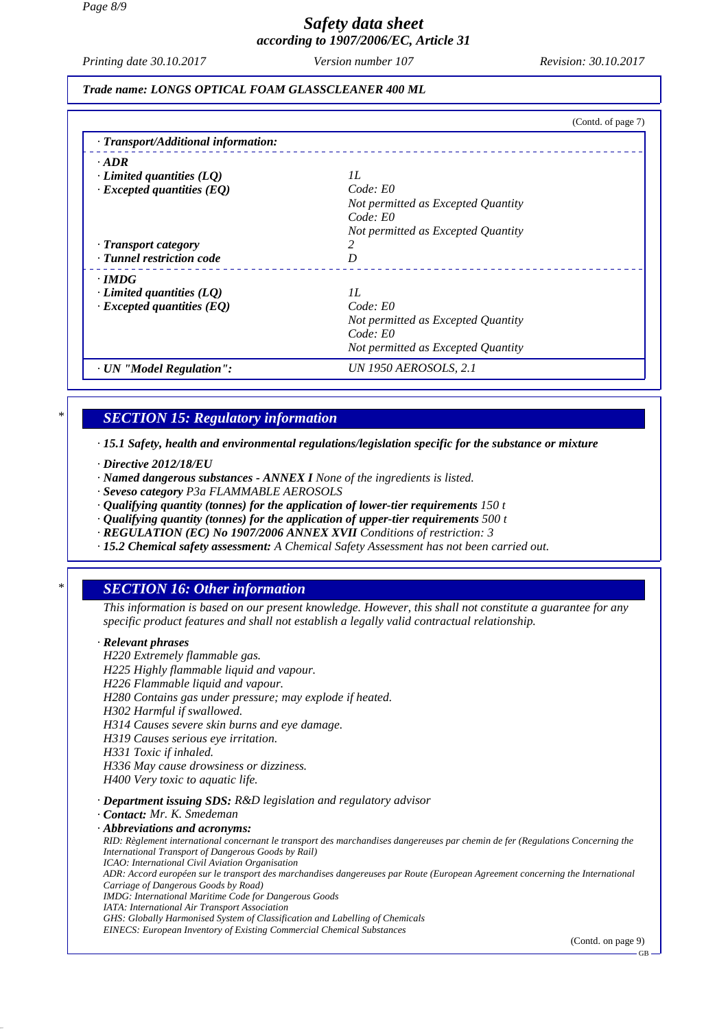# *Safety data sheet according to 1907/2006/EC, Article 31*

*Printing date 30.10.2017 Revision: 30.10.2017 Version number 107*

*Trade name: LONGS OPTICAL FOAM GLASSCLEANER 400 ML*

|                                     | (Contd. of page 7)                 |
|-------------------------------------|------------------------------------|
| · Transport/Additional information: |                                    |
| $\cdot$ ADR                         |                                    |
| $\cdot$ Limited quantities (LQ)     | II.                                |
| $\cdot$ Excepted quantities (EQ)    | Code: E0                           |
|                                     | Not permitted as Excepted Quantity |
|                                     | Code: E0                           |
|                                     | Not permitted as Excepted Quantity |
| · Transport category                |                                    |
| · Tunnel restriction code           | D                                  |
| $\cdot$ IMDG                        |                                    |
| Limited quantities $(LQ)$           | II.                                |
| $\cdot$ Excepted quantities (EQ)    | Code: E0                           |
|                                     | Not permitted as Excepted Quantity |
|                                     | Code: E0                           |
|                                     | Not permitted as Excepted Quantity |
| · UN "Model Regulation":            | UN 1950 AEROSOLS, 2.1              |

### *\* SECTION 15: Regulatory information*

*· 15.1 Safety, health and environmental regulations/legislation specific for the substance or mixture*

- *· Directive 2012/18/EU*
- *· Named dangerous substances ANNEX I None of the ingredients is listed.*
- *· Seveso category P3a FLAMMABLE AEROSOLS*
- *· Qualifying quantity (tonnes) for the application of lower-tier requirements 150 t*
- *· Qualifying quantity (tonnes) for the application of upper-tier requirements 500 t*
- *· REGULATION (EC) No 1907/2006 ANNEX XVII Conditions of restriction: 3*
- *· 15.2 Chemical safety assessment: A Chemical Safety Assessment has not been carried out.*

# *\* SECTION 16: Other information*

*This information is based on our present knowledge. However, this shall not constitute a guarantee for any specific product features and shall not establish a legally valid contractual relationship.*

#### *· Relevant phrases*

*H220 Extremely flammable gas. H225 Highly flammable liquid and vapour. H226 Flammable liquid and vapour. H280 Contains gas under pressure; may explode if heated. H302 Harmful if swallowed. H314 Causes severe skin burns and eye damage. H319 Causes serious eye irritation. H331 Toxic if inhaled. H336 May cause drowsiness or dizziness. H400 Very toxic to aquatic life. · Department issuing SDS: R&D legislation and regulatory advisor · Contact: Mr. K. Smedeman · Abbreviations and acronyms:*

*RID: Règlement international concernant le transport des marchandises dangereuses par chemin de fer (Regulations Concerning the International Transport of Dangerous Goods by Rail) ICAO: International Civil Aviation Organisation ADR: Accord européen sur le transport des marchandises dangereuses par Route (European Agreement concerning the International Carriage of Dangerous Goods by Road) IMDG: International Maritime Code for Dangerous Goods IATA: International Air Transport Association*

*GHS: Globally Harmonised System of Classification and Labelling of Chemicals EINECS: European Inventory of Existing Commercial Chemical Substances*

(Contd. on page 9)

GB